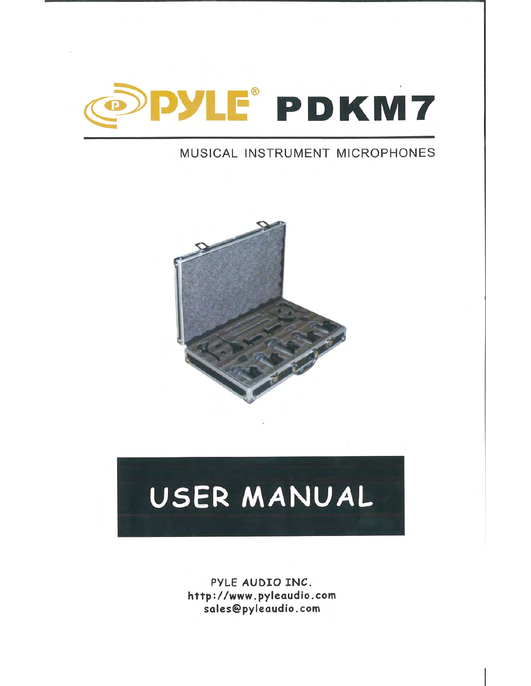

## MUSICAL INSTRUMENT MICROPHONES



# USER MANUAL

PYLE AUDIO INC. http://www.pyleaudio .com sales@pyleaudio .com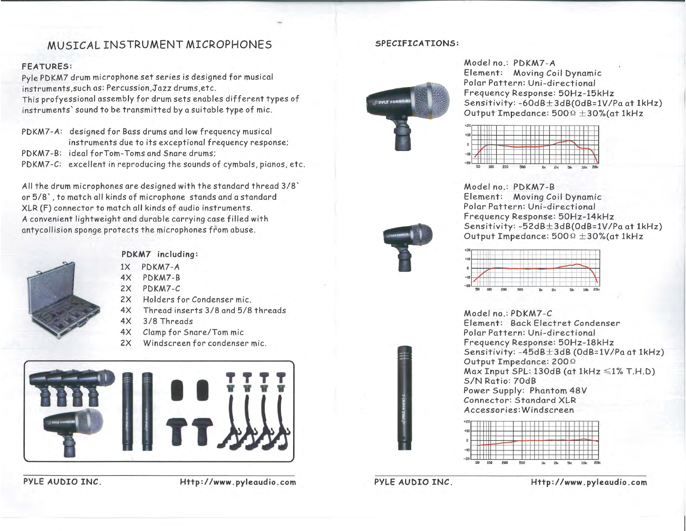### MUSICAL INSTRUMENT MICROPHONES

#### FEATURES :

Pyle PDKM7 drum microphone set series is designed for musical **instruments,such as: Percussion,Jazz drums,etc.**  This profyessional assembly for drum sets enables different types of instruments' sound to be transmitted by a suitable type of mic.

PDKM7-A: designed for Bass drums and low frequency musical instruments due to its exceptional frequency response; PDKM7-B: ideal forTom- Toms and Snare drums; PDKM7-C: excellent in reproducing the sounds of cymbals, pianos, etc.

All the drum microphones are designed with the standard thread 3/8' or 5/8' ,to match all kinds of microphone stands and a standard XLR (F) connector to match all kinds of audio instruments. A convenient lightweight and durable carrying case filled with antycollision sponge protects the microphones from abuse.



#### PDKM7 including:

- IX PDKM7-A
- 4X PDKM7-B
- 2X PDKM7-C
- 2X Holders for Condenser mic.
- 4X Thread inserts 3/8 and 5/8 threads
- 4X 3/8 Threads
- 4X Clamp for Snare/Tom mic
- 2X Windscreen for condenser mic.



#### PYLE AUDIO INC.

Http://www.pyleaudio.com

#### SPECIFICATIONS:



Model no.: PDKM7-A Element: Moving Coil Dynamic Polar Pattern: Uni-directional Frequency Response: 50Hz-15kHz Sensitivity: -60dB±3dB(OdB=IV/Pa at 1kHz) Output Impedance:  $500\Omega \pm 30\%$  (at 1kHz



Model no.: PDKM7-B Element: Moving Coil Dynamic Polar Pattern: Uni-directional Frequency Response: 50Hz-14kHz Sensitivity: -52dB± 3dB(OdB=IV/Pa at 1kHz) Output Impedance:  $500\Omega \pm 30\%$  (at 1kHz



Model no.: PDKM7-C Element: Back Electret Condenser Polar Pattern: Uni-directional Frequency Response: 50Hz-18kHz Sensitivity: -45dB±3dB (OdB=IV/Pa at 1kHz) Output Impedance: 200 Q Max Input SPL: 130dB (at 1kHz  $\leq 1\%$  T.H.D) SIN Ratio: 70dB Power Supply: Phantom 48 *V*  Connector: Standard XLR **Accessories: Windscreen** 



PYLE AUDIO INC.

Http://www.pyleaudio.com